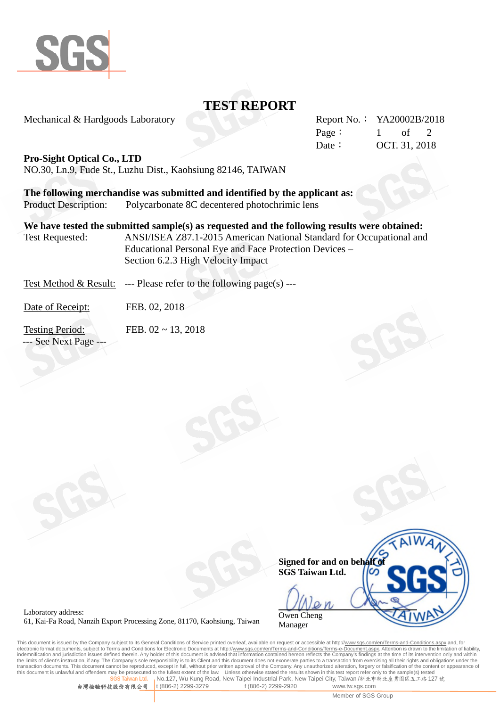

# **TEST REPORT**

Mechanical & Hardgoods Laboratory

| Report No.: YA20002B/2018 |               |  |
|---------------------------|---------------|--|
| Page:                     | $1$ of 2      |  |
| Date :                    | OCT. 31, 2018 |  |

### **Pro-Sight Optical Co., LTD**

NO.30, Ln.9, Fude St., Luzhu Dist., Kaohsiung 82146, TAIWAN

**The following merchandise was submitted and identified by the applicant as:** Product Description: Polycarbonate 8C decentered photochrimic lens

**We have tested the submitted sample(s) as requested and the following results were obtained:** Test Requested: ANSI/ISEA Z87.1-2015 American National Standard for Occupational and Educational Personal Eye and Face Protection Devices – Section 6.2.3 High Velocity Impact

Test Method & Result: --- Please refer to the following page(s) ---

Date of Receipt: FEB. 02, 2018

Testing Period: FEB. 02 ~ 13, 2018 --- See Next Page ---

**Signed for and on behalf of SGS Taiwan Ltd.** Owen Cheng Manager

Laboratory address: 61, Kai-Fa Road, Nanzih Export Processing Zone, 81170, Kaohsiung, Taiwan

This document is issued by the Company subject to its General Conditions of Service printed overleaf, available on request or accessible at http://<u>www.sgs.com/en/Terms-and-Conditions.aspx</u> and, for<br>electronic format docum indemnification and jurisdiction issues defined therein. Any holder of this document is advised that information contained hereon reflects the Company's findings at the time of its intervention only and within the limits of client's instruction, if any. The Company's sole responsibility is to its Client and this document does not exonerate parties to a transaction from exercising all their rights and obligations under the transaction documents. This document cannot be reproduced, except in full, without prior written approval of the Company. Any unauthorized alteration, forgery or falsification of the content or appearance of this document is unlawful and offenders may be prosecuted to the fullest extent of the law. Unless otherwise stated the results shown in this test report refer only to the sample(s) tested the fullest or the sample (s) te **No.127, Wu Kung Road, New Taipei Industrial Park, New Taipei City, Taiwan /新北市新北產業園區五工路 127 號** 

台灣檢驗科技股份有限公司 t (886-2) 2299-3279 f (886-2) 2299-2920 www.tw.sgs.com

Member of SGS Group